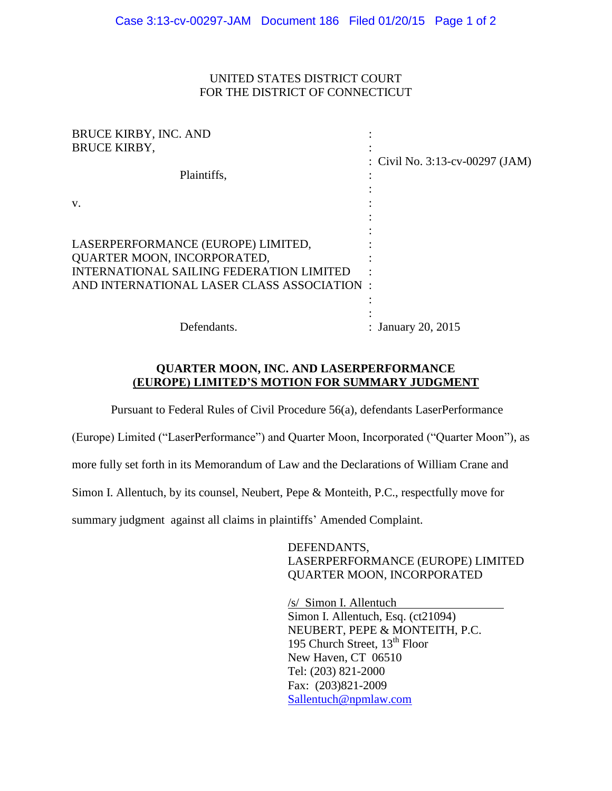## UNITED STATES DISTRICT COURT FOR THE DISTRICT OF CONNECTICUT

| <b>BRUCE KIRBY, INC. AND</b>                |                                    |
|---------------------------------------------|------------------------------------|
| <b>BRUCE KIRBY,</b>                         |                                    |
| Plaintiffs,                                 | : Civil No. $3:13$ -cv-00297 (JAM) |
| V.                                          |                                    |
| LASERPERFORMANCE (EUROPE) LIMITED,          |                                    |
| <b>QUARTER MOON, INCORPORATED,</b>          |                                    |
| INTERNATIONAL SAILING FEDERATION LIMITED    |                                    |
| AND INTERNATIONAL LASER CLASS ASSOCIATION : |                                    |
|                                             |                                    |
| Defendants.                                 | : January 20, 2015                 |

## **QUARTER MOON, INC. AND LASERPERFORMANCE (EUROPE) LIMITED'S MOTION FOR SUMMARY JUDGMENT**

Pursuant to Federal Rules of Civil Procedure 56(a), defendants LaserPerformance

(Europe) Limited ("LaserPerformance") and Quarter Moon, Incorporated ("Quarter Moon"), as

more fully set forth in its Memorandum of Law and the Declarations of William Crane and

Simon I. Allentuch, by its counsel, Neubert, Pepe & Monteith, P.C., respectfully move for

summary judgment against all claims in plaintiffs' Amended Complaint.

DEFENDANTS, LASERPERFORMANCE (EUROPE) LIMITED QUARTER MOON, INCORPORATED

/s/ Simon I. Allentuch Simon I. Allentuch, Esq. (ct21094) NEUBERT, PEPE & MONTEITH, P.C. 195 Church Street,  $13<sup>th</sup>$  Floor New Haven, CT 06510 Tel: (203) 821-2000 Fax: (203)821-2009 [Sallentuch@npmlaw.com](mailto:Sallentuch@npmlaw.com)